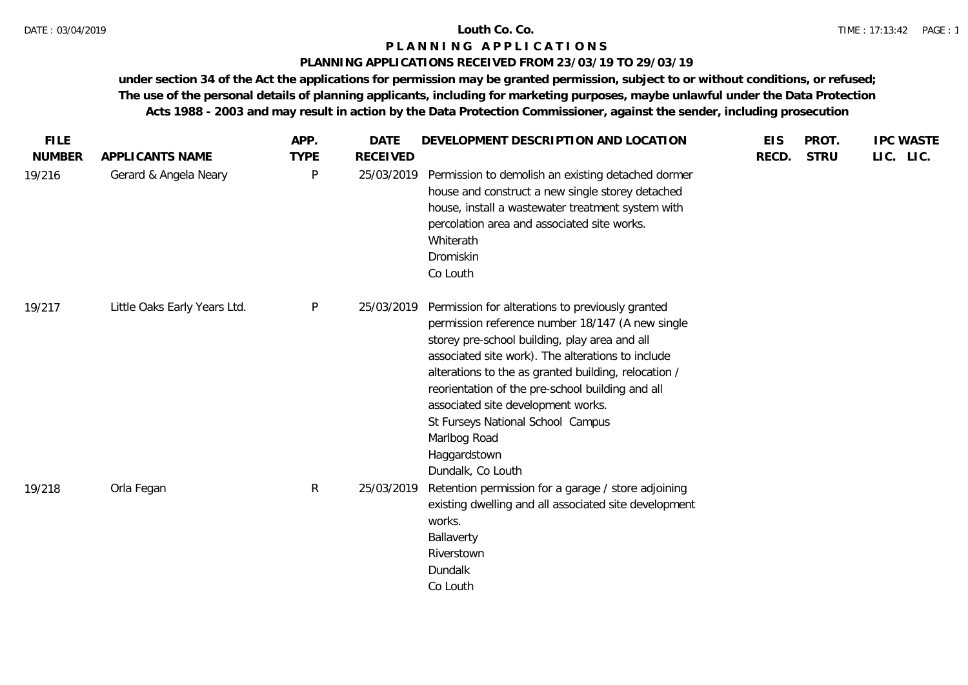# **PLANNING APPLICATIONS RECEIVED FROM 23/03/19 TO 29/03/19**

| <b>FILE</b>   |                              | APP.         | <b>DATE</b>     | DEVELOPMENT DESCRIPTION AND LOCATION                                                                                                                                                                                                                                                                                                                                                                                                                   | <b>EIS</b> | PROT.       | <b>IPC WASTE</b> |
|---------------|------------------------------|--------------|-----------------|--------------------------------------------------------------------------------------------------------------------------------------------------------------------------------------------------------------------------------------------------------------------------------------------------------------------------------------------------------------------------------------------------------------------------------------------------------|------------|-------------|------------------|
| <b>NUMBER</b> | APPLICANTS NAME              | <b>TYPE</b>  | <b>RECEIVED</b> |                                                                                                                                                                                                                                                                                                                                                                                                                                                        | RECD.      | <b>STRU</b> | LIC. LIC.        |
| 19/216        | Gerard & Angela Neary        | P            | 25/03/2019      | Permission to demolish an existing detached dormer<br>house and construct a new single storey detached<br>house, install a wastewater treatment system with<br>percolation area and associated site works.<br>Whiterath<br>Dromiskin<br>Co Louth                                                                                                                                                                                                       |            |             |                  |
| 19/217        | Little Oaks Early Years Ltd. | $\mathsf{P}$ | 25/03/2019      | Permission for alterations to previously granted<br>permission reference number 18/147 (A new single<br>storey pre-school building, play area and all<br>associated site work). The alterations to include<br>alterations to the as granted building, relocation /<br>reorientation of the pre-school building and all<br>associated site development works.<br>St Furseys National School Campus<br>Marlbog Road<br>Haggardstown<br>Dundalk, Co Louth |            |             |                  |
| 19/218        | Orla Fegan                   | $\mathsf{R}$ | 25/03/2019      | Retention permission for a garage / store adjoining<br>existing dwelling and all associated site development<br>works.<br>Ballaverty<br>Riverstown<br>Dundalk<br>Co Louth                                                                                                                                                                                                                                                                              |            |             |                  |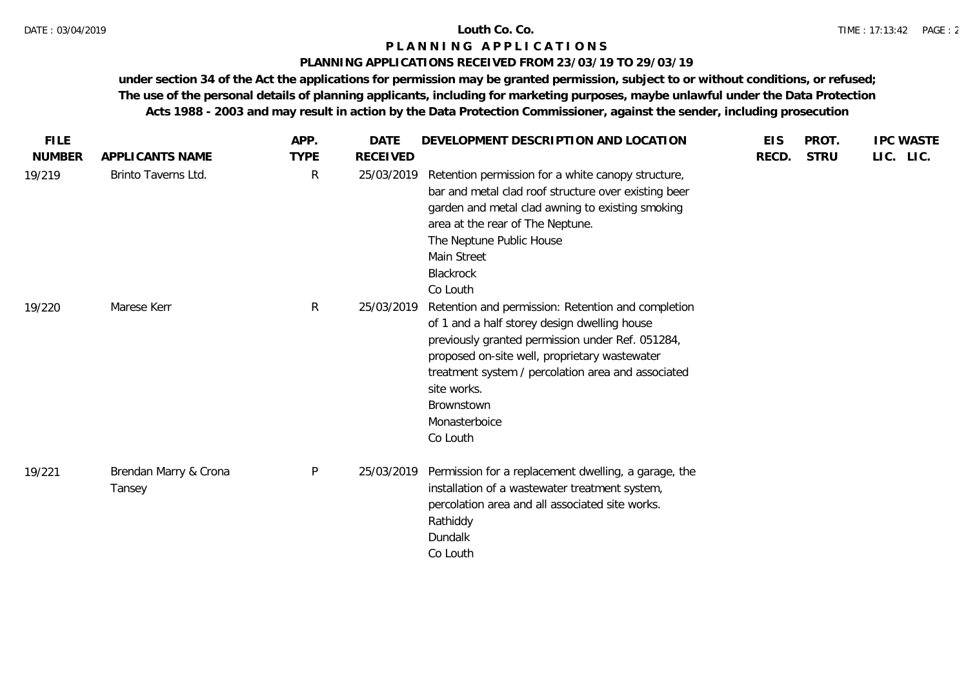# **PLANNING APPLICATIONS RECEIVED FROM 23/03/19 TO 29/03/19**

| <b>FILE</b>   |                                 | APP.         | <b>DATE</b>     | DEVELOPMENT DESCRIPTION AND LOCATION                                                                                                                                                                                                                                                                                    | <b>EIS</b> | PROT.       | <b>IPC WASTE</b> |
|---------------|---------------------------------|--------------|-----------------|-------------------------------------------------------------------------------------------------------------------------------------------------------------------------------------------------------------------------------------------------------------------------------------------------------------------------|------------|-------------|------------------|
| <b>NUMBER</b> | APPLICANTS NAME                 | <b>TYPE</b>  | <b>RECEIVED</b> |                                                                                                                                                                                                                                                                                                                         | RECD.      | <b>STRU</b> | LIC. LIC.        |
| 19/219        | Brinto Taverns Ltd.             | $\mathsf{R}$ | 25/03/2019      | Retention permission for a white canopy structure,<br>bar and metal clad roof structure over existing beer<br>garden and metal clad awning to existing smoking<br>area at the rear of The Neptune.<br>The Neptune Public House<br>Main Street<br>Blackrock<br>Co Louth                                                  |            |             |                  |
| 19/220        | Marese Kerr                     | $\mathsf{R}$ | 25/03/2019      | Retention and permission: Retention and completion<br>of 1 and a half storey design dwelling house<br>previously granted permission under Ref. 051284,<br>proposed on-site well, proprietary wastewater<br>treatment system / percolation area and associated<br>site works.<br>Brownstown<br>Monasterboice<br>Co Louth |            |             |                  |
| 19/221        | Brendan Marry & Crona<br>Tansey | P            | 25/03/2019      | Permission for a replacement dwelling, a garage, the<br>installation of a wastewater treatment system,<br>percolation area and all associated site works.<br>Rathiddy<br>Dundalk<br>Co Louth                                                                                                                            |            |             |                  |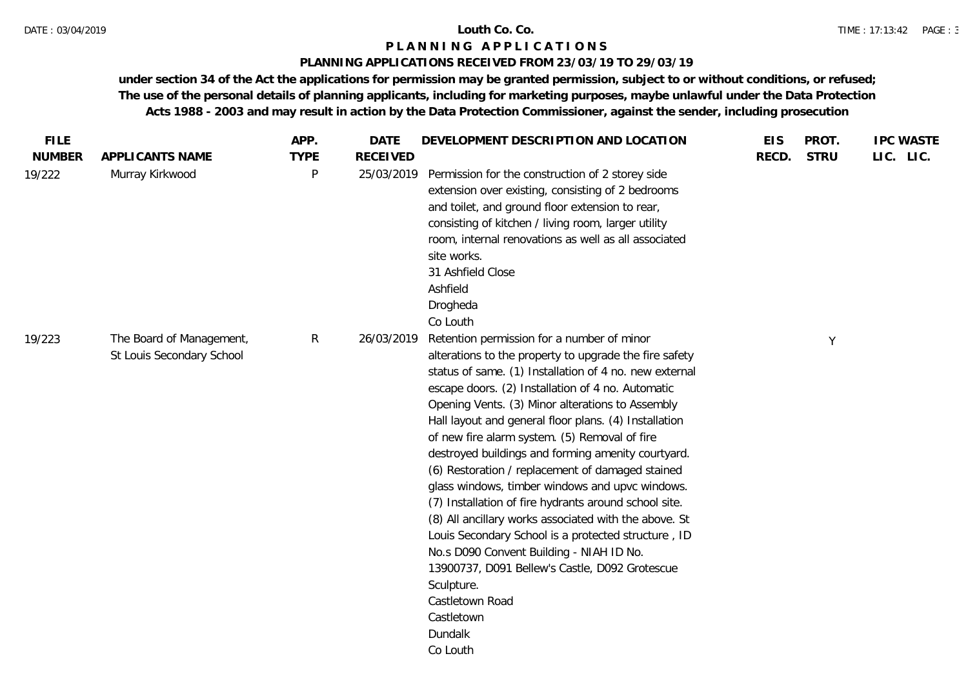# **PLANNING APPLICATIONS RECEIVED FROM 23/03/19 TO 29/03/19**

| <b>FILE</b>   |                                                       | APP.         | <b>DATE</b>     | DEVELOPMENT DESCRIPTION AND LOCATION                                                                                                                                                                                                                                                                                                                                                                                                                                                                                                                                                                                                                                                                                                                                                                                                                                                        | <b>EIS</b> | PROT.       | <b>IPC WASTE</b> |
|---------------|-------------------------------------------------------|--------------|-----------------|---------------------------------------------------------------------------------------------------------------------------------------------------------------------------------------------------------------------------------------------------------------------------------------------------------------------------------------------------------------------------------------------------------------------------------------------------------------------------------------------------------------------------------------------------------------------------------------------------------------------------------------------------------------------------------------------------------------------------------------------------------------------------------------------------------------------------------------------------------------------------------------------|------------|-------------|------------------|
| <b>NUMBER</b> | APPLICANTS NAME                                       | <b>TYPE</b>  | <b>RECEIVED</b> |                                                                                                                                                                                                                                                                                                                                                                                                                                                                                                                                                                                                                                                                                                                                                                                                                                                                                             | RECD.      | <b>STRU</b> | LIC. LIC.        |
| 19/222        | Murray Kirkwood                                       | P            | 25/03/2019      | Permission for the construction of 2 storey side<br>extension over existing, consisting of 2 bedrooms<br>and toilet, and ground floor extension to rear,<br>consisting of kitchen / living room, larger utility<br>room, internal renovations as well as all associated<br>site works.<br>31 Ashfield Close<br>Ashfield<br>Drogheda<br>Co Louth                                                                                                                                                                                                                                                                                                                                                                                                                                                                                                                                             |            |             |                  |
| 19/223        | The Board of Management,<br>St Louis Secondary School | $\mathsf{R}$ | 26/03/2019      | Retention permission for a number of minor<br>alterations to the property to upgrade the fire safety<br>status of same. (1) Installation of 4 no. new external<br>escape doors. (2) Installation of 4 no. Automatic<br>Opening Vents. (3) Minor alterations to Assembly<br>Hall layout and general floor plans. (4) Installation<br>of new fire alarm system. (5) Removal of fire<br>destroyed buildings and forming amenity courtyard.<br>(6) Restoration / replacement of damaged stained<br>glass windows, timber windows and upvc windows.<br>(7) Installation of fire hydrants around school site.<br>(8) All ancillary works associated with the above. St<br>Louis Secondary School is a protected structure, ID<br>No.s D090 Convent Building - NIAH ID No.<br>13900737, D091 Bellew's Castle, D092 Grotescue<br>Sculpture.<br>Castletown Road<br>Castletown<br>Dundalk<br>Co Louth |            | Y           |                  |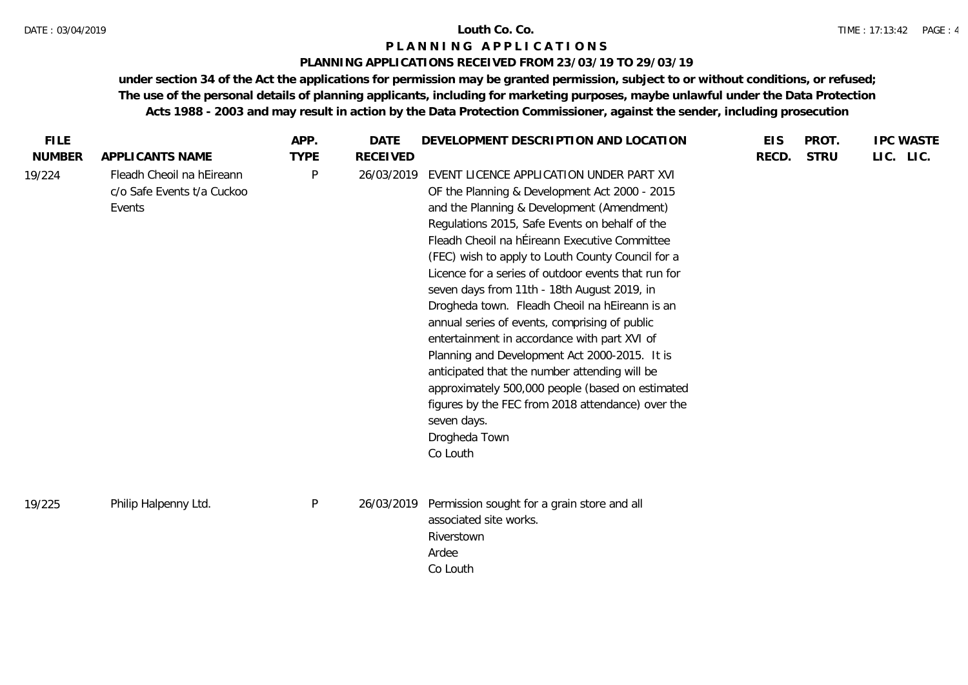# **PLANNING APPLICATIONS RECEIVED FROM 23/03/19 TO 29/03/19**

|        | APPLICANTS NAME                                                   | <b>TYPE</b>  | <b>RECEIVED</b> |                                                                                                                                                                                                                                                                                                                                                                                                                                                                                                                                                                                                                                                                                                                                                                                                                 | RECD. | <b>STRU</b> | LIC. LIC. |
|--------|-------------------------------------------------------------------|--------------|-----------------|-----------------------------------------------------------------------------------------------------------------------------------------------------------------------------------------------------------------------------------------------------------------------------------------------------------------------------------------------------------------------------------------------------------------------------------------------------------------------------------------------------------------------------------------------------------------------------------------------------------------------------------------------------------------------------------------------------------------------------------------------------------------------------------------------------------------|-------|-------------|-----------|
| 19/224 | Fleadh Cheoil na hEireann<br>c/o Safe Events t/a Cuckoo<br>Events | $\mathsf{P}$ | 26/03/2019      | EVENT LICENCE APPLICATION UNDER PART XVI<br>OF the Planning & Development Act 2000 - 2015<br>and the Planning & Development (Amendment)<br>Regulations 2015, Safe Events on behalf of the<br>Fleadh Cheoil na hÉireann Executive Committee<br>(FEC) wish to apply to Louth County Council for a<br>Licence for a series of outdoor events that run for<br>seven days from 11th - 18th August 2019, in<br>Drogheda town. Fleadh Cheoil na hEireann is an<br>annual series of events, comprising of public<br>entertainment in accordance with part XVI of<br>Planning and Development Act 2000-2015. It is<br>anticipated that the number attending will be<br>approximately 500,000 people (based on estimated<br>figures by the FEC from 2018 attendance) over the<br>seven days.<br>Drogheda Town<br>Co Louth |       |             |           |
| 19/225 | Philip Halpenny Ltd.                                              | $\mathsf{P}$ | 26/03/2019      | Permission sought for a grain store and all<br>associated site works.<br>Riverstown<br>Ardee<br>Co Louth                                                                                                                                                                                                                                                                                                                                                                                                                                                                                                                                                                                                                                                                                                        |       |             |           |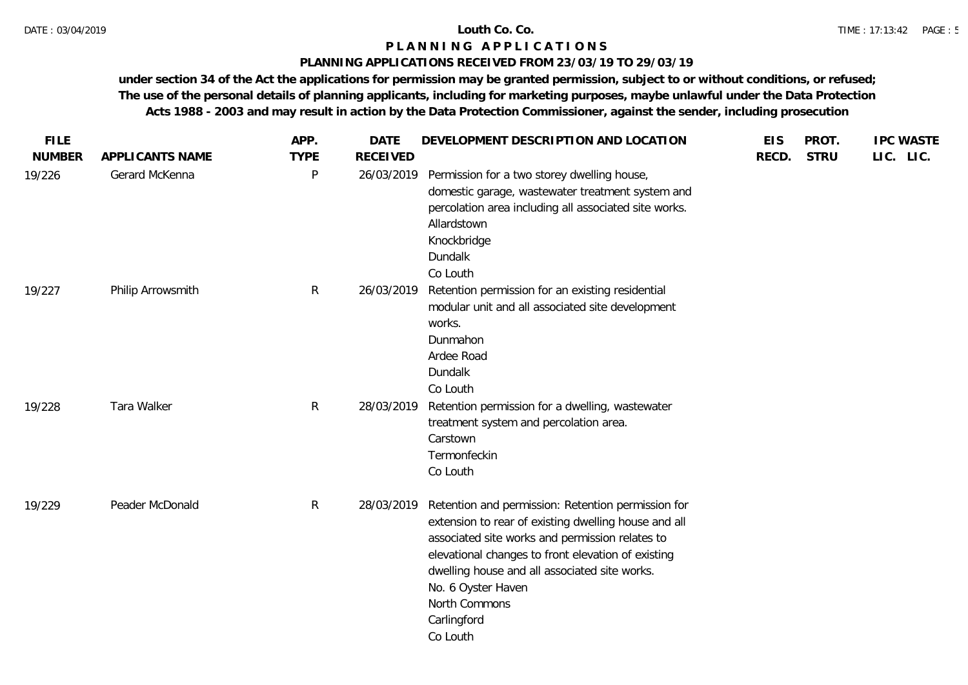# **PLANNING APPLICATIONS RECEIVED FROM 23/03/19 TO 29/03/19**

| <b>FILE</b>   |                   | APP.         | <b>DATE</b>     | DEVELOPMENT DESCRIPTION AND LOCATION                                                                                                                                                                                                                                                                                                   | <b>EIS</b> | PROT.       | <b>IPC WASTE</b> |
|---------------|-------------------|--------------|-----------------|----------------------------------------------------------------------------------------------------------------------------------------------------------------------------------------------------------------------------------------------------------------------------------------------------------------------------------------|------------|-------------|------------------|
| <b>NUMBER</b> | APPLICANTS NAME   | <b>TYPE</b>  | <b>RECEIVED</b> |                                                                                                                                                                                                                                                                                                                                        | RECD.      | <b>STRU</b> | LIC. LIC.        |
| 19/226        | Gerard McKenna    | P            |                 | 26/03/2019 Permission for a two storey dwelling house,<br>domestic garage, wastewater treatment system and<br>percolation area including all associated site works.<br>Allardstown<br>Knockbridge<br>Dundalk<br>Co Louth                                                                                                               |            |             |                  |
| 19/227        | Philip Arrowsmith | R            | 26/03/2019      | Retention permission for an existing residential<br>modular unit and all associated site development<br>works.<br>Dunmahon<br>Ardee Road<br>Dundalk<br>Co Louth                                                                                                                                                                        |            |             |                  |
| 19/228        | Tara Walker       | $\mathsf{R}$ | 28/03/2019      | Retention permission for a dwelling, wastewater<br>treatment system and percolation area.<br>Carstown<br>Termonfeckin<br>Co Louth                                                                                                                                                                                                      |            |             |                  |
| 19/229        | Peader McDonald   | R            | 28/03/2019      | Retention and permission: Retention permission for<br>extension to rear of existing dwelling house and all<br>associated site works and permission relates to<br>elevational changes to front elevation of existing<br>dwelling house and all associated site works.<br>No. 6 Oyster Haven<br>North Commons<br>Carlingford<br>Co Louth |            |             |                  |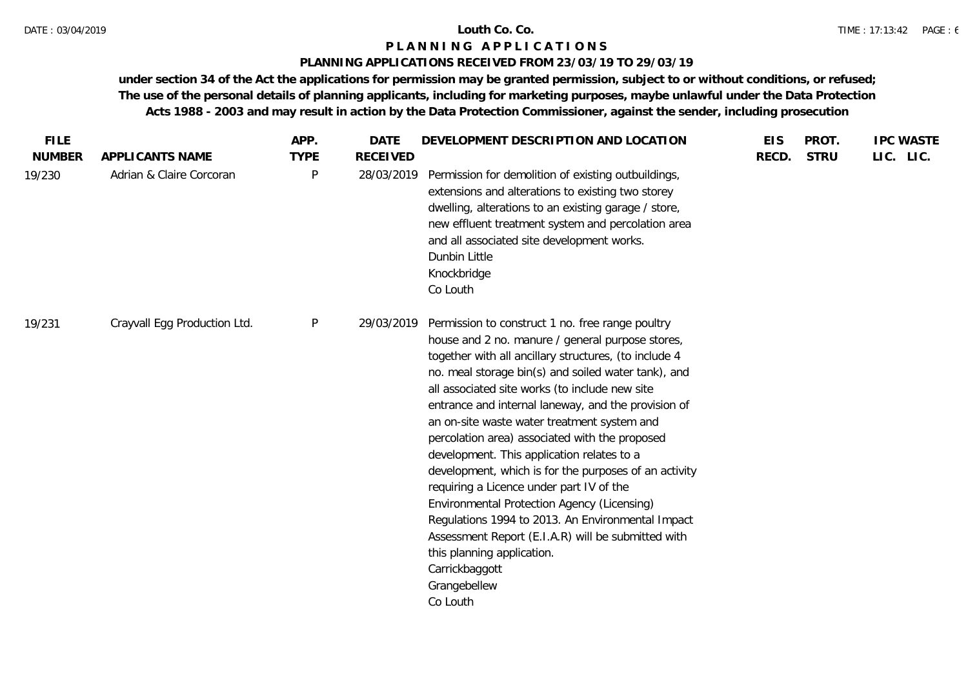# **PLANNING APPLICATIONS RECEIVED FROM 23/03/19 TO 29/03/19**

| <b>FILE</b><br><b>NUMBER</b> | APPLICANTS NAME              | APP.<br><b>TYPE</b> | <b>DATE</b><br><b>RECEIVED</b> | DEVELOPMENT DESCRIPTION AND LOCATION                                                                                                                                                                                                                                                                                                                                                                                                                                                                                                                                                                                                                                                                                                                                                                                    | <b>EIS</b><br>RECD. | PROT.<br><b>STRU</b> | <b>IPC WASTE</b><br>LIC. LIC. |
|------------------------------|------------------------------|---------------------|--------------------------------|-------------------------------------------------------------------------------------------------------------------------------------------------------------------------------------------------------------------------------------------------------------------------------------------------------------------------------------------------------------------------------------------------------------------------------------------------------------------------------------------------------------------------------------------------------------------------------------------------------------------------------------------------------------------------------------------------------------------------------------------------------------------------------------------------------------------------|---------------------|----------------------|-------------------------------|
| 19/230                       | Adrian & Claire Corcoran     | P                   | 28/03/2019                     | Permission for demolition of existing outbuildings,<br>extensions and alterations to existing two storey<br>dwelling, alterations to an existing garage / store,<br>new effluent treatment system and percolation area<br>and all associated site development works.<br>Dunbin Little<br>Knockbridge<br>Co Louth                                                                                                                                                                                                                                                                                                                                                                                                                                                                                                        |                     |                      |                               |
| 19/231                       | Crayvall Egg Production Ltd. | P                   | 29/03/2019                     | Permission to construct 1 no. free range poultry<br>house and 2 no. manure / general purpose stores,<br>together with all ancillary structures, (to include 4<br>no. meal storage bin(s) and soiled water tank), and<br>all associated site works (to include new site<br>entrance and internal laneway, and the provision of<br>an on-site waste water treatment system and<br>percolation area) associated with the proposed<br>development. This application relates to a<br>development, which is for the purposes of an activity<br>requiring a Licence under part IV of the<br>Environmental Protection Agency (Licensing)<br>Regulations 1994 to 2013. An Environmental Impact<br>Assessment Report (E.I.A.R) will be submitted with<br>this planning application.<br>Carrickbaggott<br>Grangebellew<br>Co Louth |                     |                      |                               |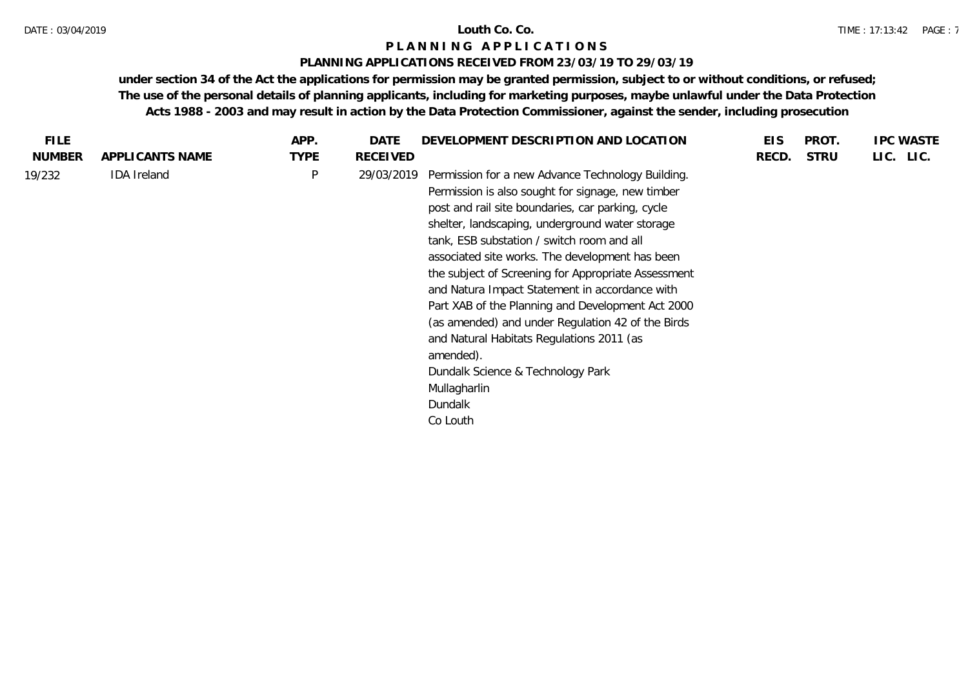# **PLANNING APPLICATIONS RECEIVED FROM 23/03/19 TO 29/03/19**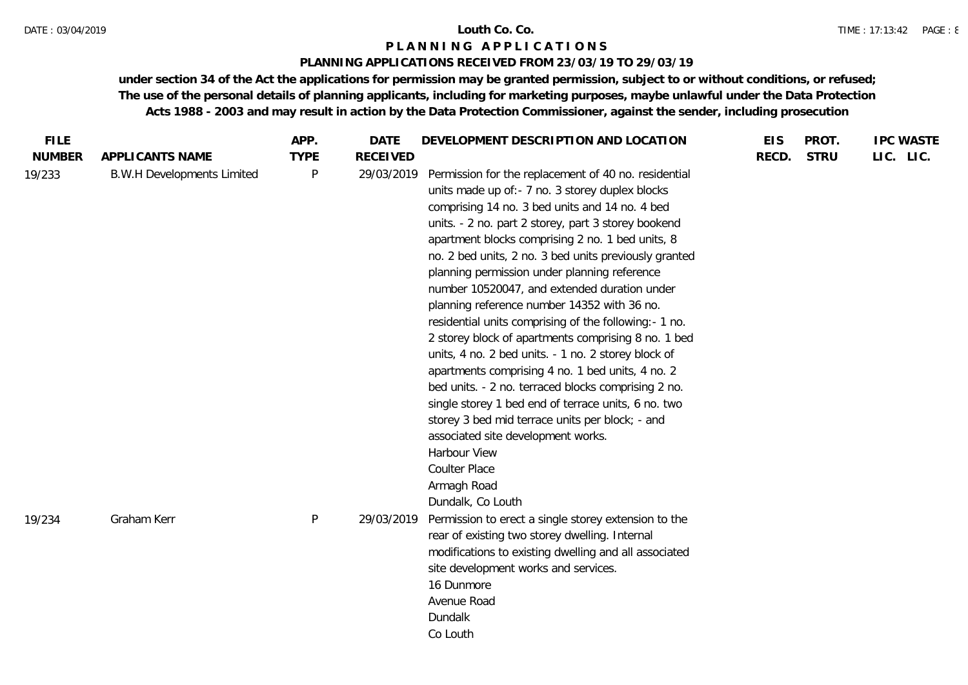# **PLANNING APPLICATIONS RECEIVED FROM 23/03/19 TO 29/03/19**

| <b>FILE</b>   |                                   | APP.         | <b>DATE</b>     | DEVELOPMENT DESCRIPTION AND LOCATION                                                                                                                                                                                                                                                                                                                                                                                                                                                                                                                                                                                                                                                                                                                                                                                                                                                                                                                                   | <b>EIS</b> | PROT.       | <b>IPC WASTE</b> |
|---------------|-----------------------------------|--------------|-----------------|------------------------------------------------------------------------------------------------------------------------------------------------------------------------------------------------------------------------------------------------------------------------------------------------------------------------------------------------------------------------------------------------------------------------------------------------------------------------------------------------------------------------------------------------------------------------------------------------------------------------------------------------------------------------------------------------------------------------------------------------------------------------------------------------------------------------------------------------------------------------------------------------------------------------------------------------------------------------|------------|-------------|------------------|
| <b>NUMBER</b> | APPLICANTS NAME                   | <b>TYPE</b>  | <b>RECEIVED</b> |                                                                                                                                                                                                                                                                                                                                                                                                                                                                                                                                                                                                                                                                                                                                                                                                                                                                                                                                                                        | RECD.      | <b>STRU</b> | LIC. LIC.        |
| 19/233        | <b>B.W.H Developments Limited</b> | $\mathsf{P}$ | 29/03/2019      | Permission for the replacement of 40 no. residential<br>units made up of:- 7 no. 3 storey duplex blocks<br>comprising 14 no. 3 bed units and 14 no. 4 bed<br>units. - 2 no. part 2 storey, part 3 storey bookend<br>apartment blocks comprising 2 no. 1 bed units, 8<br>no. 2 bed units, 2 no. 3 bed units previously granted<br>planning permission under planning reference<br>number 10520047, and extended duration under<br>planning reference number 14352 with 36 no.<br>residential units comprising of the following: - 1 no.<br>2 storey block of apartments comprising 8 no. 1 bed<br>units, 4 no. 2 bed units. - 1 no. 2 storey block of<br>apartments comprising 4 no. 1 bed units, 4 no. 2<br>bed units. - 2 no. terraced blocks comprising 2 no.<br>single storey 1 bed end of terrace units, 6 no. two<br>storey 3 bed mid terrace units per block; - and<br>associated site development works.<br>Harbour View<br><b>Coulter Place</b><br>Armagh Road |            |             |                  |
| 19/234        | Graham Kerr                       | P            | 29/03/2019      | Dundalk, Co Louth<br>Permission to erect a single storey extension to the<br>rear of existing two storey dwelling. Internal<br>modifications to existing dwelling and all associated<br>site development works and services.<br>16 Dunmore<br>Avenue Road<br>Dundalk                                                                                                                                                                                                                                                                                                                                                                                                                                                                                                                                                                                                                                                                                                   |            |             |                  |
|               |                                   |              |                 | Co Louth                                                                                                                                                                                                                                                                                                                                                                                                                                                                                                                                                                                                                                                                                                                                                                                                                                                                                                                                                               |            |             |                  |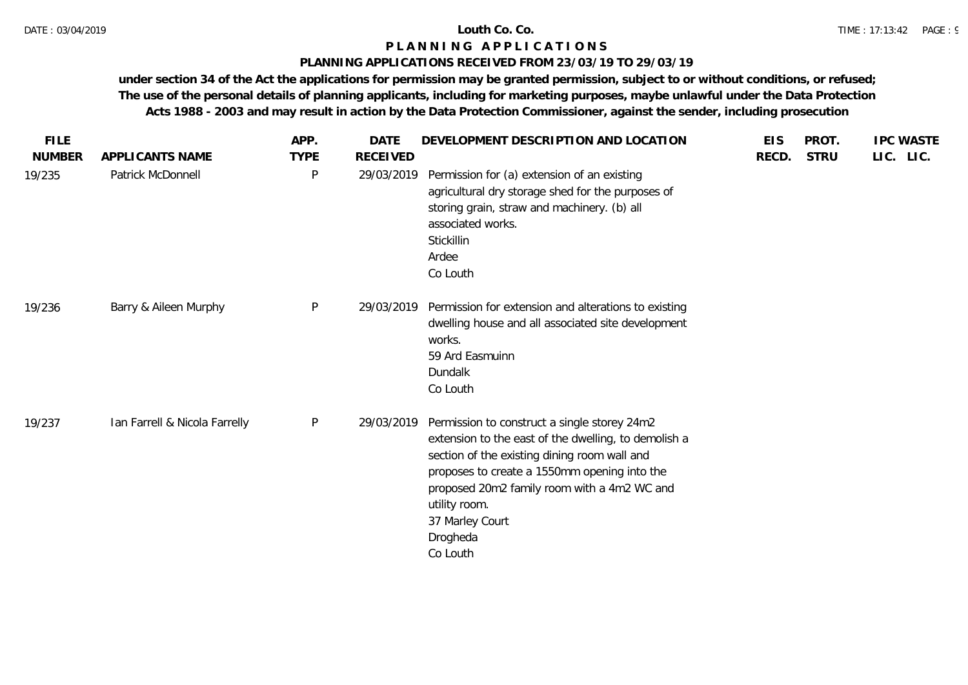# **PLANNING APPLICATIONS RECEIVED FROM 23/03/19 TO 29/03/19**

| <b>FILE</b>   |                               | APP.         | <b>DATE</b>     | DEVELOPMENT DESCRIPTION AND LOCATION                                                                                                                                                                                                                                                                            | <b>EIS</b> | PROT.       | <b>IPC WASTE</b> |
|---------------|-------------------------------|--------------|-----------------|-----------------------------------------------------------------------------------------------------------------------------------------------------------------------------------------------------------------------------------------------------------------------------------------------------------------|------------|-------------|------------------|
| <b>NUMBER</b> | APPLICANTS NAME               | <b>TYPE</b>  | <b>RECEIVED</b> |                                                                                                                                                                                                                                                                                                                 | RECD.      | <b>STRU</b> | LIC. LIC.        |
| 19/235        | Patrick McDonnell             | P            | 29/03/2019      | Permission for (a) extension of an existing<br>agricultural dry storage shed for the purposes of<br>storing grain, straw and machinery. (b) all<br>associated works.<br>Stickillin<br>Ardee<br>Co Louth                                                                                                         |            |             |                  |
| 19/236        | Barry & Aileen Murphy         | $\mathsf{P}$ | 29/03/2019      | Permission for extension and alterations to existing<br>dwelling house and all associated site development<br>works.<br>59 Ard Easmuinn<br>Dundalk<br>Co Louth                                                                                                                                                  |            |             |                  |
| 19/237        | Ian Farrell & Nicola Farrelly | ${\sf P}$    | 29/03/2019      | Permission to construct a single storey 24m2<br>extension to the east of the dwelling, to demolish a<br>section of the existing dining room wall and<br>proposes to create a 1550mm opening into the<br>proposed 20m2 family room with a 4m2 WC and<br>utility room.<br>37 Marley Court<br>Drogheda<br>Co Louth |            |             |                  |